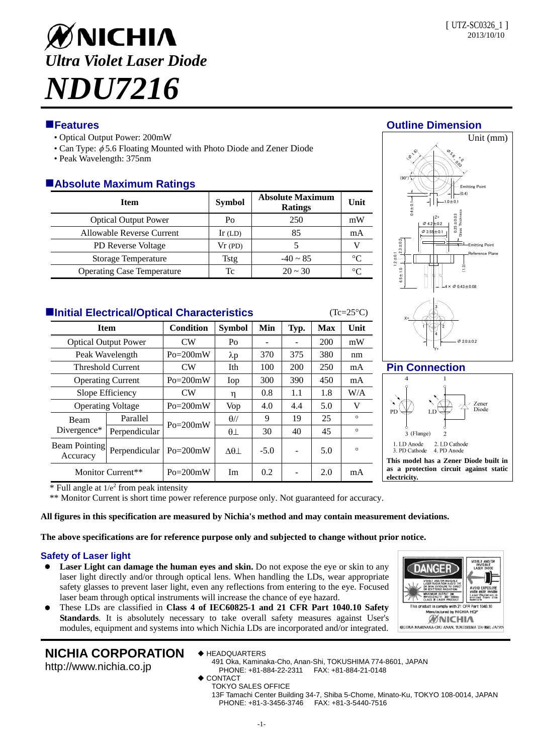

- Optical Output Power: 200mW
- Can Type:  $\phi$  5.6 Floating Mounted with Photo Diode and Zener Diode
- Peak Wavelength: 375nm

# **Absolute Maximum Ratings**

| <b>Item</b>                       | <b>Symbol</b> | <b>Absolute Maximum</b><br><b>Ratings</b> | Unit |
|-----------------------------------|---------------|-------------------------------------------|------|
| <b>Optical Output Power</b>       | Po            | 250                                       | mW   |
| Allowable Reverse Current         | $Ir$ (LD)     | 85                                        | mA   |
| <b>PD Reverse Voltage</b>         | Vr(PD)        |                                           |      |
| <b>Storage Temperature</b>        | Tstg          | $-40 \sim 85$                             | ∘∩   |
| <b>Operating Case Temperature</b> | Тc            | $20 \approx 30$                           |      |

| <b>Elnitial Electrical/Optical Characteristics</b> | $(Tc=25\degree C)$ |              |                |        |      |            |         |
|----------------------------------------------------|--------------------|--------------|----------------|--------|------|------------|---------|
| <b>Item</b>                                        |                    | Condition    | <b>Symbol</b>  | Min    | Typ. | <b>Max</b> | Unit    |
| <b>Optical Output Power</b>                        |                    | CW           | P <sub>O</sub> |        |      | 200        | mW      |
| Peak Wavelength                                    |                    | $Po = 200mW$ | $\lambda p$    | 370    | 375  | 380        | nm      |
| <b>Threshold Current</b>                           |                    | CW           | Ith            | 100    | 200  | 250        | mA      |
| <b>Operating Current</b>                           |                    | $Po = 200mW$ | Iop            | 300    | 390  | 450        | mA      |
| Slope Efficiency                                   |                    | CW           | η              | 0.8    | 1.1  | 1.8        | W/A     |
| <b>Operating Voltage</b>                           |                    | $Po = 200mW$ | <b>Vop</b>     | 4.0    | 4.4  | 5.0        | V       |
| <b>Beam</b><br>Divergence*                         | Parallel           | $Po = 200mW$ | $\theta$ //    | 9      | 19   | 25         | $\circ$ |
|                                                    | Perpendicular      |              | $\theta$       | 30     | 40   | 45         | $\circ$ |
| <b>Beam Pointing</b><br>Accuracy                   | Perpendicular      | $Po = 200mW$ | $\Delta\theta$ | $-5.0$ |      | 5.0        | $\circ$ |
| Monitor Current**                                  |                    | $Po = 200mW$ | Im             | 0.2    |      | 2.0        | mA      |

# **Features Outline Dimension**



# **Pin Connection**



 $*$  Full angle at  $1/e<sup>2</sup>$  from peak intensity

\*\* Monitor Current is short time power reference purpose only. Not guaranteed for accuracy.

#### **All figures in this specification are measured by Nichia's method and may contain measurement deviations.**

**The above specifications are for reference purpose only and subjected to change without prior notice.** 

# **Safety of Laser light**

- Laser Light can damage the human eyes and skin. Do not expose the eye or skin to any laser light directly and/or through optical lens. When handling the LDs, wear appropriate safety glasses to prevent laser light, even any reflections from entering to the eye. Focused laser beam through optical instruments will increase the chance of eye hazard.
- These LDs are classified in **Class 4 of IEC60825-1 and 21 CFR Part 1040.10 Safety Standards**. It is absolutely necessary to take overall safety measures against User's modules, equipment and systems into which Nichia LDs are incorporated and/or integrated.

# DANGEI WAVELENGT s product is comply with 21 CFR Part<br>Manufactured by NICHIA HQP **MNICHIA** 491. OKA KAMINAKA-CHO ANAN, TOKUSHIMA 774-8601 JAPAN

# **NICHIA CORPORATION**

http://www.nichia.co.jp

◆ HEADQUARTERS

491 Oka, Kaminaka-Cho, Anan-Shi, TOKUSHIMA 774-8601, JAPAN PHONE: +81-884-22-2311 FAX: +81-884-21-0148

- ◆ CONTACT
- TOKYO SALES OFFICE

13F Tamachi Center Building 34-7, Shiba 5-Chome, Minato-Ku, TOKYO 108-0014, JAPAN PHONE: +81-3-3456-3746 FAX: +81-3-5440-7516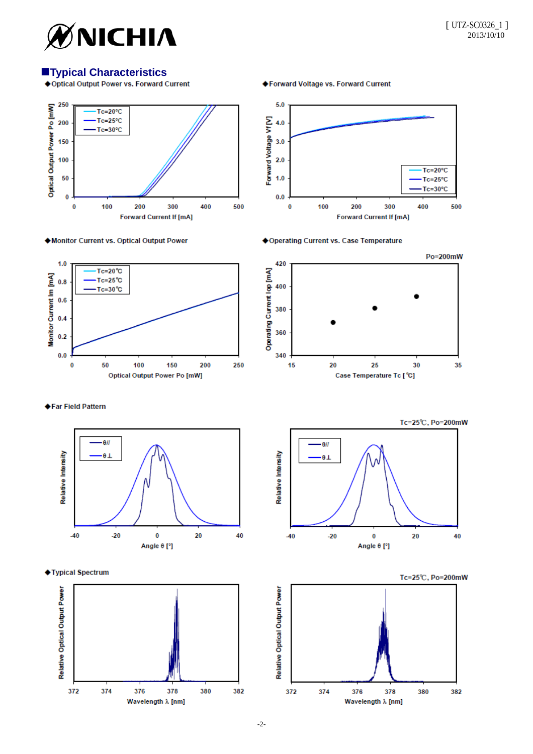

# **Typical Characteristics**<br>**Coptical Output Power vs. Forward Current**



◆ Monitor Current vs. Optical Output Power



◆Forward Voltage vs. Forward Current







◆Far Field Pattern



◆Typical Spectrum